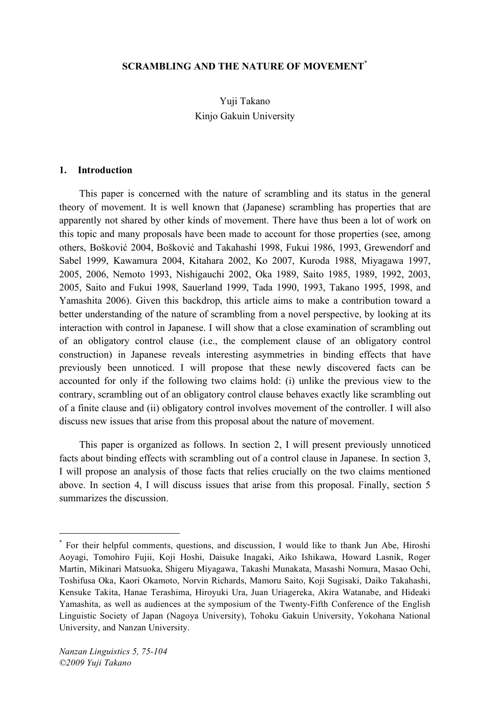## **SCRAMBLING AND THE NATURE OF MOVEMENT\***

# Yuji Takano Kinjo Gakuin University

#### **1. Introduction**

This paper is concerned with the nature of scrambling and its status in the general theory of movement. It is well known that (Japanese) scrambling has properties that are apparently not shared by other kinds of movement. There have thus been a lot of work on this topic and many proposals have been made to account for those properties (see, among others, Bošković 2004, Bošković and Takahashi 1998, Fukui 1986, 1993, Grewendorf and Sabel 1999, Kawamura 2004, Kitahara 2002, Ko 2007, Kuroda 1988, Miyagawa 1997, 2005, 2006, Nemoto 1993, Nishigauchi 2002, Oka 1989, Saito 1985, 1989, 1992, 2003, 2005, Saito and Fukui 1998, Sauerland 1999, Tada 1990, 1993, Takano 1995, 1998, and Yamashita 2006). Given this backdrop, this article aims to make a contribution toward a better understanding of the nature of scrambling from a novel perspective, by looking at its interaction with control in Japanese. I will show that a close examination of scrambling out of an obligatory control clause (i.e., the complement clause of an obligatory control construction) in Japanese reveals interesting asymmetries in binding effects that have previously been unnoticed. I will propose that these newly discovered facts can be accounted for only if the following two claims hold: (i) unlike the previous view to the contrary, scrambling out of an obligatory control clause behaves exactly like scrambling out of a finite clause and (ii) obligatory control involves movement of the controller. I will also discuss new issues that arise from this proposal about the nature of movement.

This paper is organized as follows. In section 2, I will present previously unnoticed facts about binding effects with scrambling out of a control clause in Japanese. In section 3, I will propose an analysis of those facts that relies crucially on the two claims mentioned above. In section 4, I will discuss issues that arise from this proposal. Finally, section 5 summarizes the discussion.

 <sup>\*</sup> For their helpful comments, questions, and discussion, <sup>I</sup> would like to thank Jun Abe, Hiroshi Aoyagi, Tomohiro Fujii, Koji Hoshi, Daisuke Inagaki, Aiko Ishikawa, Howard Lasnik, Roger Martin, Mikinari Matsuoka, Shigeru Miyagawa, Takashi Munakata, Masashi Nomura, Masao Ochi, Toshifusa Oka, Kaori Okamoto, Norvin Richards, Mamoru Saito, Koji Sugisaki, Daiko Takahashi, Kensuke Takita, Hanae Terashima, Hiroyuki Ura, Juan Uriagereka, Akira Watanabe, and Hideaki Yamashita, as well as audiences at the symposium of the Twenty-Fifth Conference of the English Linguistic Society of Japan (Nagoya University), Tohoku Gakuin University, Yokohana National University, and Nanzan University.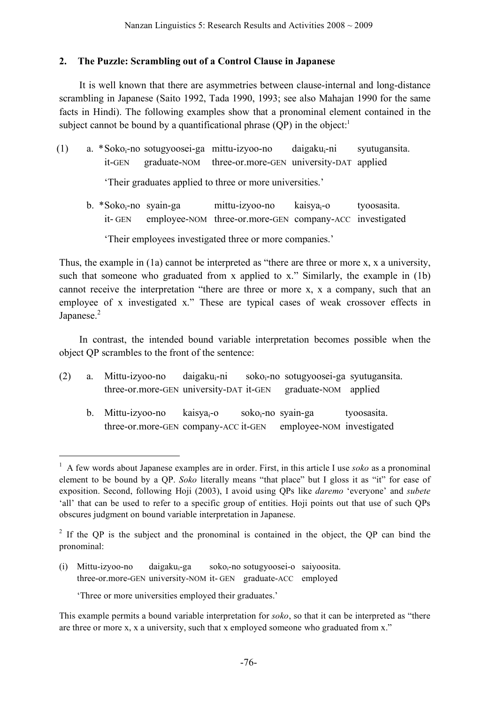### **2. The Puzzle: Scrambling out of a Control Clause in Japanese**

It is well known that there are asymmetries between clause-internal and long-distance scrambling in Japanese (Saito 1992, Tada 1990, 1993; see also Mahajan 1990 for the same facts in Hindi). The following examples show that a pronominal element contained in the subject cannot be bound by a quantificational phrase  $(QP)$  in the object.<sup>1</sup>

(1) a. \*Sokoi-no sotugyoosei-ga mittu-izyoo-no daigakui-ni syutugansita. it-GEN graduate-NOM three-or.more-GEN university-DAT applied

'Their graduates applied to three or more universities.'

b. \*Soko<sub>i</sub>-no syain-ga mittu-izyoo-no kaisya<sub>i</sub>-o tyoosasita. it- GEN employee-NOM three-or.more-GEN company-ACC investigated

'Their employees investigated three or more companies.'

Thus, the example in (1a) cannot be interpreted as "there are three or more x, x a university, such that someone who graduated from x applied to x." Similarly, the example in (1b) cannot receive the interpretation "there are three or more x, x a company, such that an employee of x investigated x." These are typical cases of weak crossover effects in Japanese.<sup>2</sup>

In contrast, the intended bound variable interpretation becomes possible when the object QP scrambles to the front of the sentence:

- $(2)$  a. Mittu-izyoo-no daigaku<sub>i</sub>-ni soko<sub>i</sub>-no sotugyoosei-ga syutugansita. three-or.more-GEN university-DAT it-GEN graduate-NOM applied
	- b. Mittu-izyoo-no kaisya<sub>i</sub>-o soko<sub>i</sub>-no syain-ga tyoosasita. three-or.more-GEN company-ACC it-GEN employee-NOM investigated

(i) Mittu-izyoo-no daigaku<sub>i</sub>-ga soko<sub>i</sub>-no sotugyoosei-o saiyoosita. three-or.more-GEN university-NOM it- GEN graduate-ACC employed

'Three or more universities employed their graduates.'

 <sup>1</sup> <sup>A</sup> few words about Japanese examples are in order. First, in this article I use *soko* as a pronominal element to be bound by a QP. *Soko* literally means "that place" but I gloss it as "it" for ease of exposition. Second, following Hoji (2003), I avoid using QPs like *daremo* 'everyone' and *subete* 'all' that can be used to refer to a specific group of entities. Hoji points out that use of such QPs obscures judgment on bound variable interpretation in Japanese.

<sup>&</sup>lt;sup>2</sup> If the QP is the subject and the pronominal is contained in the object, the QP can bind the pronominal:

This example permits a bound variable interpretation for *soko*, so that it can be interpreted as "there are three or more x, x a university, such that x employed someone who graduated from x."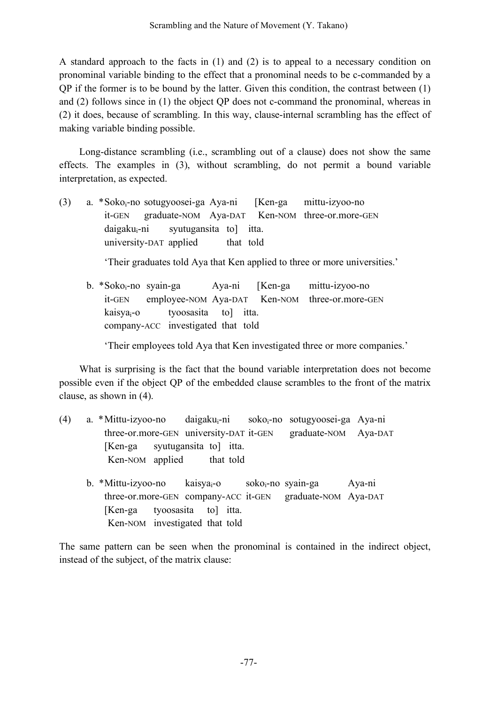A standard approach to the facts in (1) and (2) is to appeal to a necessary condition on pronominal variable binding to the effect that a pronominal needs to be c-commanded by a QP if the former is to be bound by the latter. Given this condition, the contrast between (1) and (2) follows since in (1) the object QP does not c-command the pronominal, whereas in (2) it does, because of scrambling. In this way, clause-internal scrambling has the effect of making variable binding possible.

Long-distance scrambling (i.e., scrambling out of a clause) does not show the same effects. The examples in (3), without scrambling, do not permit a bound variable interpretation, as expected.

(3) a. \*Sokoi-no sotugyoosei-ga Aya-ni [Ken-ga mittu-izyoo-no it-GEN graduate-NOM Aya-DAT Ken-NOM three-or.more-GEN  $daigaku_i-ni$  syutugansita to itta. university-DAT applied that told

'Their graduates told Aya that Ken applied to three or more universities.'

b. \*Soko<sub>i</sub>-no syain-ga Aya-ni [Ken-ga mittu-izyoo-no it-GEN employee-NOM Aya-DAT Ken-NOM three-or.more-GEN kaisyai-o tyoosasita to] itta. company-ACC investigated that told

'Their employees told Aya that Ken investigated three or more companies.'

What is surprising is the fact that the bound variable interpretation does not become possible even if the object QP of the embedded clause scrambles to the front of the matrix clause, as shown in (4).

- (4) a. \*Mittu-izyoo-no daigakui-ni sokoi-no sotugyoosei-ga Aya-ni three-or.more-GEN university-DAT it-GEN graduate-NOM Aya-DAT [Ken-ga syutugansita to] itta. Ken-NOM applied that told
	- b. \*Mittu-izyoo-no kaisya<sub>i</sub>-o soko<sub>i</sub>-no syain-ga Aya-ni three-or.more-GEN company-ACC it-GEN graduate-NOM Aya-DAT [Ken-ga tyoosasita to] itta. Ken-NOM investigated that told

The same pattern can be seen when the pronominal is contained in the indirect object, instead of the subject, of the matrix clause: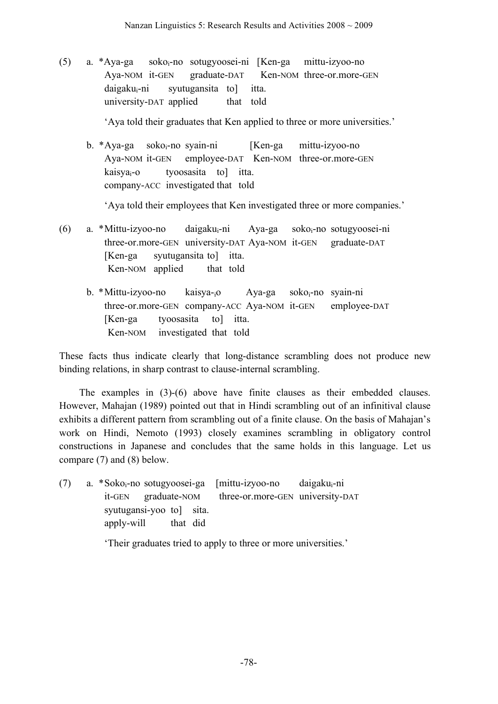(5) a. \*Aya-ga sokoi-no sotugyoosei-ni [Ken-ga mittu-izyoo-no Aya-NOM it-GEN graduate-DAT Ken-NOM three-or.more-GEN daigakui-ni syutugansita to] itta. university-DAT applied that told

'Aya told their graduates that Ken applied to three or more universities.'

b. \*Aya-ga sokoi-no syain-ni [Ken-ga mittu-izyoo-no Aya-NOM it-GEN employee-DAT Ken-NOM three-or.more-GEN kaisyai-o tyoosasita to] itta. company-ACC investigated that told

'Aya told their employees that Ken investigated three or more companies.'

- $(6)$  a. \*Mittu-izyoo-no daigaku<sub>i</sub>-ni Aya-ga soko<sub>i</sub>-no sotugyoosei-ni three-or.more-GEN university-DAT Aya-NOM it-GEN graduate-DAT [Ken-ga syutugansita to] itta. Ken-NOM applied that told
	- b. \*Mittu-izyoo-no kaisya-<sub>i</sub>o Aya-ga soko<sub>i</sub>-no syain-ni three-or.more-GEN company-ACC Aya-NOM it-GEN employee-DAT [Ken-ga tyoosasita to] itta. Ken-NOM investigated that told

These facts thus indicate clearly that long-distance scrambling does not produce new binding relations, in sharp contrast to clause-internal scrambling.

The examples in (3)-(6) above have finite clauses as their embedded clauses. However, Mahajan (1989) pointed out that in Hindi scrambling out of an infinitival clause exhibits a different pattern from scrambling out of a finite clause. On the basis of Mahajan's work on Hindi, Nemoto (1993) closely examines scrambling in obligatory control constructions in Japanese and concludes that the same holds in this language. Let us compare (7) and (8) below.

 $(7)$  a. \*Soko<sub>i</sub>-no sotugyoosei-ga [mittu-izyoo-no daigaku<sub>i</sub>-ni it-GEN graduate-NOM three-or.more-GEN university-DAT syutugansi-yoo to sita. apply-will that did

'Their graduates tried to apply to three or more universities.'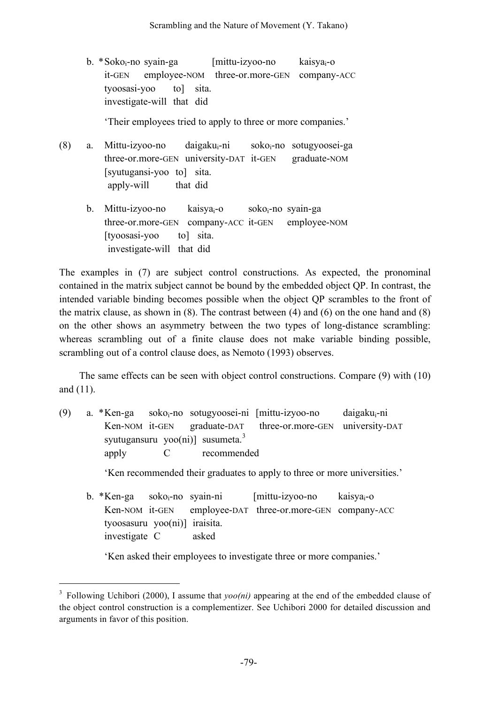b. \*Soko<sub>i</sub>-no syain-ga [mittu-izyoo-no kaisya<sub>i</sub>-o it-GEN employee-NOM three-or.more-GEN company-ACC tyoosasi-yoo to] sita. investigate-will that did

'Their employees tried to apply to three or more companies.'

- $(8)$  a. Mittu-izyoo-no daigaku<sub>i</sub>-ni soko<sub>i</sub>-no sotugyoosei-ga three-or.more-GEN university-DAT it-GEN graduate-NOM [syutugansi-yoo to] sita. apply-will that did
	- b. Mittu-izyoo-no kaisya<sub>i</sub>-o soko<sub>i</sub>-no syain-ga three-or.more-GEN company-ACC it-GEN employee-NOM [tyoosasi-yoo to] sita. investigate-will that did

The examples in (7) are subject control constructions. As expected, the pronominal contained in the matrix subject cannot be bound by the embedded object QP. In contrast, the intended variable binding becomes possible when the object QP scrambles to the front of the matrix clause, as shown in (8). The contrast between (4) and (6) on the one hand and (8) on the other shows an asymmetry between the two types of long-distance scrambling: whereas scrambling out of a finite clause does not make variable binding possible, scrambling out of a control clause does, as Nemoto (1993) observes.

The same effects can be seen with object control constructions. Compare (9) with (10) and (11).

- $(9)$  a. \*Ken-ga soko<sub>i</sub>-no sotugyoosei-ni [mittu-izyoo-no daigaku<sub>i</sub>-ni Ken-NOM it-GEN graduate-DAT three-or.more-GEN university-DAT syutugansuru yoo(ni)] susumeta.<sup>3</sup> apply C recommended 'Ken recommended their graduates to apply to three or more universities.'
	- b.  $*$ Ken-ga soko<sub>i</sub>-no syain-ni [mittu-izyoo-no kaisya<sub>i</sub>-o Ken-NOM it-GEN employee-DAT three-or.more-GEN company-ACC tyoosasuru yoo(ni)] iraisita.

investigate C asked

'Ken asked their employees to investigate three or more companies.'

<sup>&</sup>lt;sup>3</sup> Following Uchibori (2000), I assume that *yoo(ni)* appearing at the end of the embedded clause of the object control construction is a complementizer. See Uchibori 2000 for detailed discussion and arguments in favor of this position.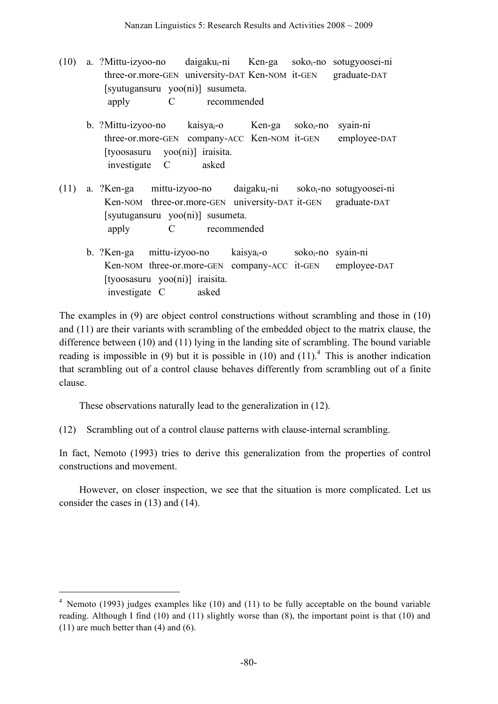- (10) a. ?Mittu-izyoo-no daigakui-ni Ken-ga sokoi-no sotugyoosei-ni three-or.more-GEN university-DAT Ken-NOM it-GEN graduate-DAT [syutugansuru yoo(ni)] susumeta. apply C recommended
	- b. ?Mittu-izyoo-no kaisya<sub>i</sub>-o Ken-ga soko<sub>i</sub>-no syain-ni three-or.more-GEN company-ACC Ken-NOM it-GEN employee-DAT [tyoosasuru yoo(ni)] iraisita. investigate C asked
- (11) a. ?Ken-ga mittu-izyoo-no daigakui-ni sokoi-no sotugyoosei-ni Ken-NOM three-or.more-GEN university-DAT it-GEN graduate-DAT [syutugansuru yoo(ni)] susumeta. apply C recommended
	- b. ?Ken-ga mittu-izyoo-no kaisya<sub>i</sub>-o soko<sub>i</sub>-no syain-ni Ken-NOM three-or.more-GEN company-ACC it-GEN employee-DAT [tyoosasuru yoo(ni)] iraisita. investigate C asked

The examples in (9) are object control constructions without scrambling and those in (10) and (11) are their variants with scrambling of the embedded object to the matrix clause, the difference between (10) and (11) lying in the landing site of scrambling. The bound variable reading is impossible in (9) but it is possible in (10) and (11).<sup>4</sup> This is another indication that scrambling out of a control clause behaves differently from scrambling out of a finite clause.

These observations naturally lead to the generalization in (12).

(12) Scrambling out of a control clause patterns with clause-internal scrambling.

In fact, Nemoto (1993) tries to derive this generalization from the properties of control constructions and movement.

However, on closer inspection, we see that the situation is more complicated. Let us consider the cases in (13) and (14).

 <sup>4</sup> Nemoto (1993) judges examples like (10) and (11) to be fully acceptable on the bound variable reading. Although I find (10) and (11) slightly worse than (8), the important point is that (10) and (11) are much better than (4) and (6).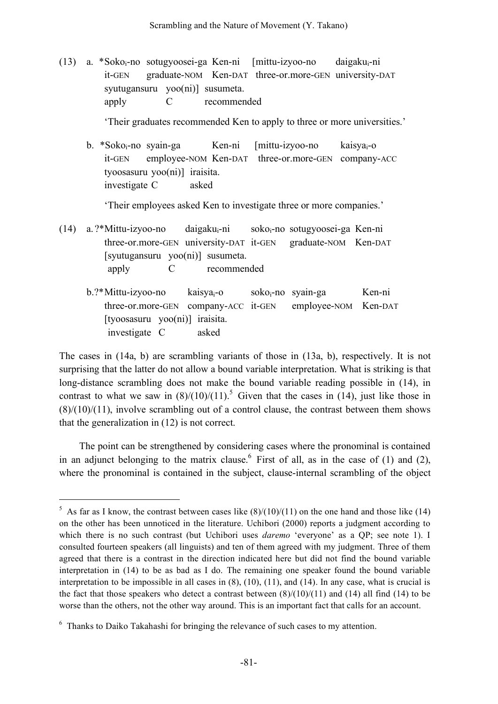(13) a. \*Sokoi-no sotugyoosei-ga Ken-ni [mittu-izyoo-no daigakui-ni it-GEN graduate-NOM Ken-DAT three-or.more-GEN university-DAT syutugansuru yoo(ni)] susumeta. apply C recommended

'Their graduates recommended Ken to apply to three or more universities.'

b. \*Soko<sub>i</sub>-no syain-ga Ken-ni [mittu-izyoo-no kaisya<sub>i</sub>-o it-GEN employee-NOM Ken-DAT three-or.more-GEN company-ACC tyoosasuru yoo(ni)] iraisita. investigate C asked

'Their employees asked Ken to investigate three or more companies.'

- (14) a. ?\*Mittu-izyoo-no daigakui-ni sokoi-no sotugyoosei-ga Ken-ni three-or.more-GEN university-DAT it-GEN graduate-NOM Ken-DAT [syutugansuru yoo(ni)] susumeta. apply C recommended
	- b.?\*Mittu-izyoo-no kaisya<sub>i</sub>-o soko<sub>i</sub>-no syain-ga Ken-ni three-or.more-GEN company-ACC it-GEN employee-NOM Ken-DAT [tyoosasuru yoo(ni)] iraisita. investigate C asked

The cases in (14a, b) are scrambling variants of those in (13a, b), respectively. It is not surprising that the latter do not allow a bound variable interpretation. What is striking is that long-distance scrambling does not make the bound variable reading possible in (14), in contrast to what we saw in  $(8)/(10)/(11)$ .<sup>5</sup> Given that the cases in (14), just like those in  $(8)/(10)/(11)$ , involve scrambling out of a control clause, the contrast between them shows that the generalization in (12) is not correct.

The point can be strengthened by considering cases where the pronominal is contained in an adjunct belonging to the matrix clause.  $6$  First of all, as in the case of (1) and (2), where the pronominal is contained in the subject, clause-internal scrambling of the object

<sup>&</sup>lt;sup>5</sup> As far as I know, the contrast between cases like  $(8)/(10)/(11)$  on the one hand and those like (14) on the other has been unnoticed in the literature. Uchibori (2000) reports a judgment according to which there is no such contrast (but Uchibori uses *daremo* 'everyone' as a QP; see note 1). I consulted fourteen speakers (all linguists) and ten of them agreed with my judgment. Three of them agreed that there is a contrast in the direction indicated here but did not find the bound variable interpretation in (14) to be as bad as I do. The remaining one speaker found the bound variable interpretation to be impossible in all cases in (8), (10), (11), and (14). In any case, what is crucial is the fact that those speakers who detect a contrast between  $(8)/(10)/(11)$  and  $(14)$  all find  $(14)$  to be worse than the others, not the other way around. This is an important fact that calls for an account.

<sup>&</sup>lt;sup>6</sup> Thanks to Daiko Takahashi for bringing the relevance of such cases to my attention.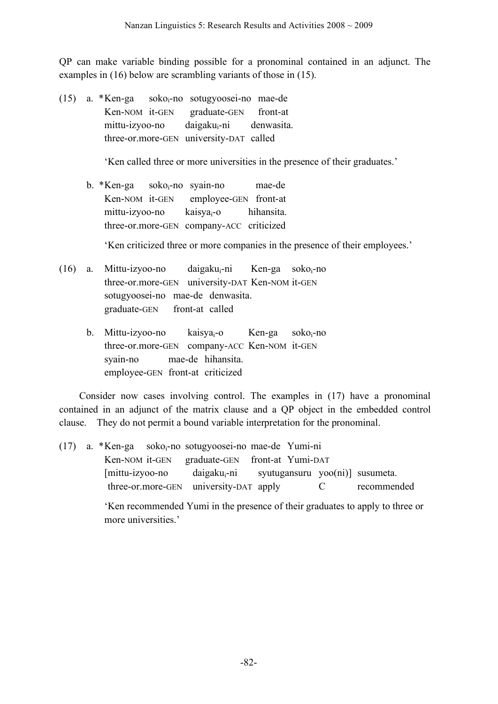QP can make variable binding possible for a pronominal contained in an adjunct. The examples in (16) below are scrambling variants of those in (15).

(15) a. \*Ken-ga sokoi-no sotugyoosei-no mae-de Ken-NOM it-GEN graduate-GEN front-at mittu-izyoo-no daigaku<sub>i</sub>-ni denwasita. three-or.more-GEN university-DAT called

'Ken called three or more universities in the presence of their graduates.'

b. \*Ken-ga soko<sub>i</sub>-no syain-no mae-de Ken-NOM it-GEN employee-GEN front-at mittu-izyoo-no kaisya<sub>i</sub>-o hihansita. three-or.more-GEN company-ACC criticized

'Ken criticized three or more companies in the presence of their employees.'

- $(16)$  a. Mittu-izyoo-no daigaku<sub>i</sub>-ni Ken-ga soko<sub>i</sub>-no three-or.more-GEN university-DAT Ken-NOM it-GEN sotugyoosei-no mae-de denwasita. graduate-GEN front-at called
	- b. Mittu-izyoo-no kaisya<sub>i</sub>-o Ken-ga soko<sub>i</sub>-no three-or.more-GEN company-ACC Ken-NOM it-GEN syain-no mae-de hihansita. employee-GEN front-at criticized

Consider now cases involving control. The examples in (17) have a pronominal contained in an adjunct of the matrix clause and a QP object in the embedded control clause. They do not permit a bound variable interpretation for the pronominal.

 $(17)$  a. \*Ken-ga soko<sub>i</sub>-no sotugyoosei-no mae-de Yumi-ni Ken-NOM it-GEN graduate-GEN front-at Yumi-DAT [mittu-izyoo-no daigaku<sub>i</sub>-ni syutugansuru yoo(ni)] susumeta. three-or.more-GEN university-DAT apply C recommended

> 'Ken recommended Yumi in the presence of their graduates to apply to three or more universities.'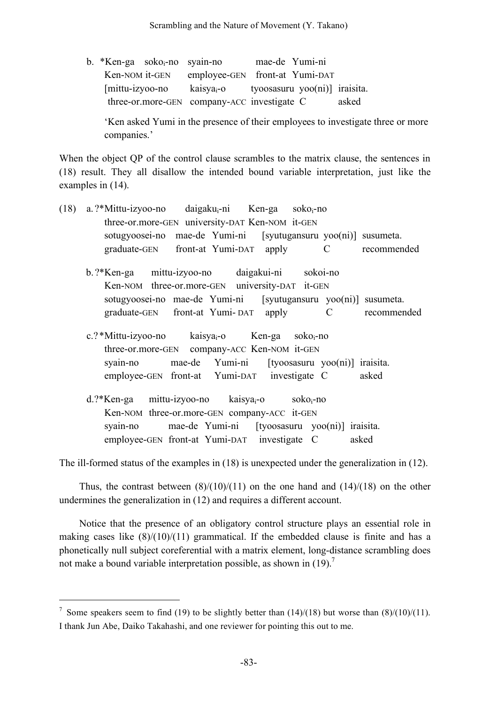| b. *Ken-ga soko <sub>i</sub> -no syain-no |  |                                             | mae-de Yumi-ni                |       |
|-------------------------------------------|--|---------------------------------------------|-------------------------------|-------|
| Ken-NOM it-GEN                            |  | employee-GEN front-at Yumi-DAT              |                               |       |
| $[mitu-izyoo-no]$                         |  | kaisya-o                                    | tyoosasuru yoo(ni)] iraisita. |       |
|                                           |  | three-or.more-GEN company-ACC investigate C |                               | asked |

'Ken asked Yumi in the presence of their employees to investigate three or more companies.'

When the object QP of the control clause scrambles to the matrix clause, the sentences in (18) result. They all disallow the intended bound variable interpretation, just like the examples in (14).

| (18) | a. ?*Mittu-izyoo-no daigaku <sub>i</sub> -ni Ken-ga soko <sub>i</sub> -no                         |  |  |  |  |  |  |
|------|---------------------------------------------------------------------------------------------------|--|--|--|--|--|--|
|      | three-or.more-GEN university-DAT Ken-NOM it-GEN                                                   |  |  |  |  |  |  |
|      | sotugyoosei-no mae-de Yumi-ni [syutugansuru yoo(ni)] susumeta.                                    |  |  |  |  |  |  |
|      | graduate-GEN front-at Yumi-DAT apply C recommended                                                |  |  |  |  |  |  |
|      | b.?*Ken-ga mittu-izyoo-no daigakui-ni sokoi-no<br>Ken-NOM three-or.more-GEN university-DAT it-GEN |  |  |  |  |  |  |
|      |                                                                                                   |  |  |  |  |  |  |
|      | sotugyoosei-no mae-de Yumi-ni [syutugansuru yoo(ni)] susumeta.                                    |  |  |  |  |  |  |
|      | graduate-GEN front-at Yumi-DAT apply C<br>recommended                                             |  |  |  |  |  |  |
|      | c.?*Mittu-izyoo-no kaisya <sub>i</sub> -o Ken-ga soko <sub>i</sub> -no                            |  |  |  |  |  |  |
|      | three-or.more-GEN company-ACC Ken-NOM it-GEN                                                      |  |  |  |  |  |  |
|      | syain-no mae-de Yumi-ni [tyoosasuru yoo(ni)] iraisita.                                            |  |  |  |  |  |  |
|      | employee-GEN front-at Yumi-DAT investigate C<br>asked                                             |  |  |  |  |  |  |
|      | $d$ .?*Ken-ga mittu-izyoo-no kaisya <sub>i</sub> -o soko <sub>i</sub> -no                         |  |  |  |  |  |  |
|      | Ken-NOM three-or.more-GEN company-ACC it-GEN                                                      |  |  |  |  |  |  |
|      | mae-de Yumi-ni [tyoosasuru yoo(ni)] iraisita.<br>syain-no                                         |  |  |  |  |  |  |
|      | employee-GEN front-at Yumi-DAT investigate C<br>asked                                             |  |  |  |  |  |  |

The ill-formed status of the examples in (18) is unexpected under the generalization in (12).

Thus, the contrast between  $(8)/(10)/(11)$  on the one hand and  $(14)/(18)$  on the other undermines the generalization in (12) and requires a different account.

Notice that the presence of an obligatory control structure plays an essential role in making cases like  $(8)/(10)/(11)$  grammatical. If the embedded clause is finite and has a phonetically null subject coreferential with a matrix element, long-distance scrambling does not make a bound variable interpretation possible, as shown in  $(19)$ .

<sup>&</sup>lt;sup>7</sup> Some speakers seem to find (19) to be slightly better than (14)/(18) but worse than (8)/(10)/(11). I thank Jun Abe, Daiko Takahashi, and one reviewer for pointing this out to me.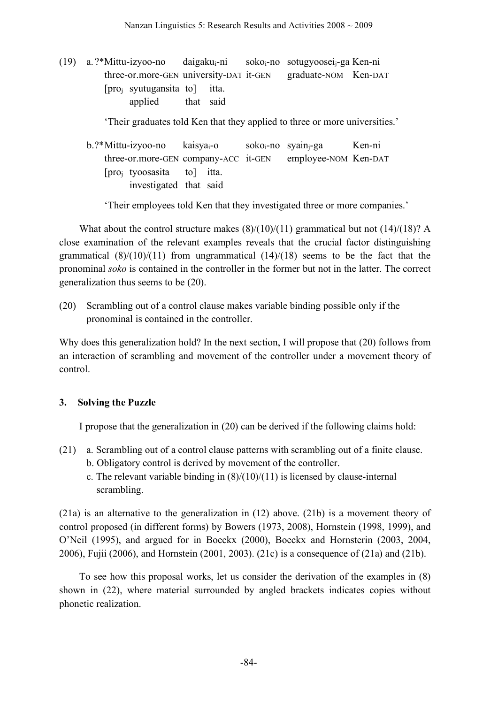(19) a. ?\*Mittu-izyoo-no daigakui-ni sokoi-no sotugyooseij-ga Ken-ni three-or.more-GEN university-DAT it-GEN graduate-NOM Ken-DAT [proj syutugansita to] itta. applied that said

'Their graduates told Ken that they applied to three or more universities.'

b.?\*Mittu-izyoo-no kaisya<sub>i</sub>-o soko<sub>i</sub>-no syain<sub>i</sub>-ga Ken-ni three-or.more-GEN company-ACC it-GEN employee-NOM Ken-DAT [proj tyoosasita to] itta. investigated that said

'Their employees told Ken that they investigated three or more companies.'

What about the control structure makes  $(8)/(10)/(11)$  grammatical but not  $(14)/(18)$ ? A close examination of the relevant examples reveals that the crucial factor distinguishing grammatical  $(8)/(10)/(11)$  from ungrammatical  $(14)/(18)$  seems to be the fact that the pronominal *soko* is contained in the controller in the former but not in the latter. The correct generalization thus seems to be (20).

(20) Scrambling out of a control clause makes variable binding possible only if the pronominal is contained in the controller.

Why does this generalization hold? In the next section, I will propose that (20) follows from an interaction of scrambling and movement of the controller under a movement theory of control.

## **3. Solving the Puzzle**

I propose that the generalization in (20) can be derived if the following claims hold:

- (21) a. Scrambling out of a control clause patterns with scrambling out of a finite clause. b. Obligatory control is derived by movement of the controller.
	- c. The relevant variable binding in  $(8)/(10)/(11)$  is licensed by clause-internal scrambling.

(21a) is an alternative to the generalization in (12) above. (21b) is a movement theory of control proposed (in different forms) by Bowers (1973, 2008), Hornstein (1998, 1999), and O'Neil (1995), and argued for in Boeckx (2000), Boeckx and Hornsterin (2003, 2004, 2006), Fujii (2006), and Hornstein (2001, 2003). (21c) is a consequence of (21a) and (21b).

To see how this proposal works, let us consider the derivation of the examples in (8) shown in (22), where material surrounded by angled brackets indicates copies without phonetic realization.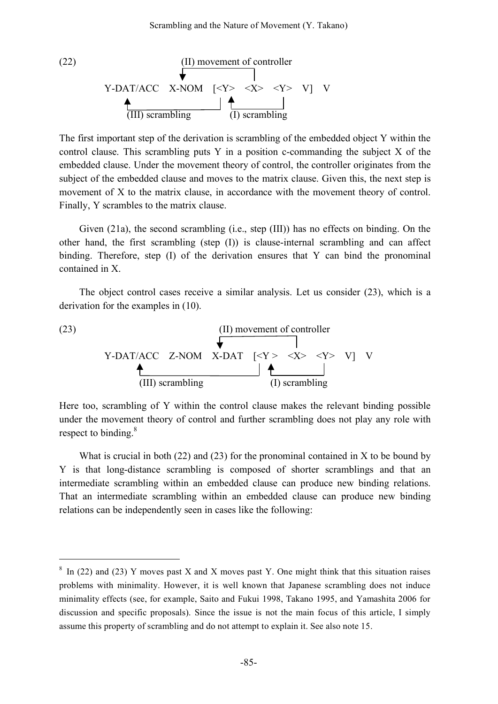(22)   
\n
$$
\begin{array}{c}\n\text{(II) movement of controller} \\
\hline\n\end{array}
$$
\nY-DAT/ACC X-NOM  $[\langle Y \rangle \langle X \rangle \langle Y \rangle \langle Y \rangle]$  V\n  
\n
$$
\begin{array}{c}\n\hline\n\end{array}
$$
\n(III) scrambling\n
$$
\begin{array}{c}\n\hline\n\end{array}
$$
\n(1) scrambling

The first important step of the derivation is scrambling of the embedded object Y within the control clause. This scrambling puts Y in a position c-commanding the subject X of the embedded clause. Under the movement theory of control, the controller originates from the subject of the embedded clause and moves to the matrix clause. Given this, the next step is movement of X to the matrix clause, in accordance with the movement theory of control. Finally, Y scrambles to the matrix clause.

Given (21a), the second scrambling (i.e., step (III)) has no effects on binding. On the other hand, the first scrambling (step (I)) is clause-internal scrambling and can affect binding. Therefore, step (I) of the derivation ensures that Y can bind the pronominal contained in X.

The object control cases receive a similar analysis. Let us consider (23), which is a derivation for the examples in (10).



Here too, scrambling of Y within the control clause makes the relevant binding possible under the movement theory of control and further scrambling does not play any role with respect to binding.<sup>8</sup>

What is crucial in both  $(22)$  and  $(23)$  for the pronominal contained in X to be bound by Y is that long-distance scrambling is composed of shorter scramblings and that an intermediate scrambling within an embedded clause can produce new binding relations. That an intermediate scrambling within an embedded clause can produce new binding relations can be independently seen in cases like the following:

 $8 \text{ In (22) and (23) Y moves past X and X moves past Y. One might think that this situation raises }$ problems with minimality. However, it is well known that Japanese scrambling does not induce minimality effects (see, for example, Saito and Fukui 1998, Takano 1995, and Yamashita 2006 for discussion and specific proposals). Since the issue is not the main focus of this article, I simply assume this property of scrambling and do not attempt to explain it. See also note 15.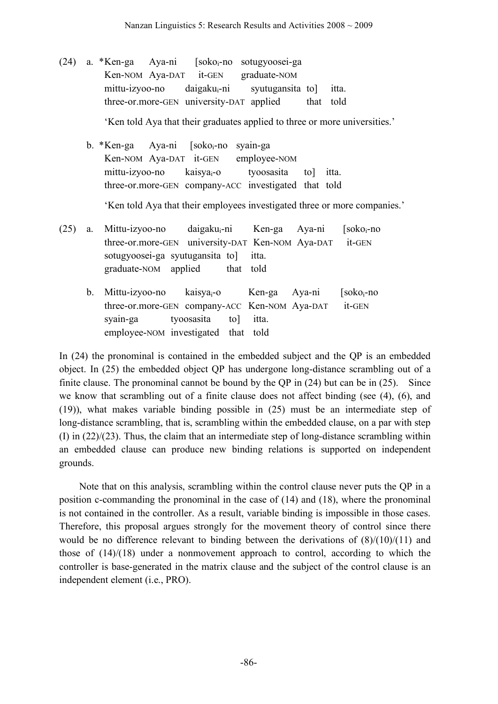$(24)$  a. \*Ken-ga Aya-ni [soko<sub>i</sub>-no sotugyoosei-ga Ken-NOM Aya-DAT it-GEN graduate-NOM mittu-izyoo-no daigakui-ni syutugansita to] itta. three-or.more-GEN university-DAT applied that told

'Ken told Aya that their graduates applied to three or more universities.'

b. \*Ken-ga Aya-ni [soko<sub>i</sub>-no syain-ga Ken-NOM Aya-DAT it-GEN employee-NOM mittu-izyoo-no kaisyai-o tyoosasita to] itta. three-or.more-GEN company-ACC investigated that told

'Ken told Aya that their employees investigated three or more companies.'

- $(25)$  a. Mittu-izyoo-no daigaku<sub>i</sub>-ni Ken-ga Aya-ni [soko<sub>i</sub>-no three-or.more-GEN university-DAT Ken-NOM Aya-DAT it-GEN sotugyoosei-ga syutugansita to] itta. graduate-NOM applied that told
	- b. Mittu-izyoo-no kaisya<sub>i</sub>-o Ken-ga Aya-ni [soko<sub>i</sub>-no three-or.more-GEN company-ACC Ken-NOM Aya-DAT it-GEN syain-ga tyoosasita to] itta. employee-NOM investigated that told

In (24) the pronominal is contained in the embedded subject and the QP is an embedded object. In (25) the embedded object QP has undergone long-distance scrambling out of a finite clause. The pronominal cannot be bound by the QP in (24) but can be in (25). Since we know that scrambling out of a finite clause does not affect binding (see (4), (6), and (19)), what makes variable binding possible in (25) must be an intermediate step of long-distance scrambling, that is, scrambling within the embedded clause, on a par with step (I) in  $(22)/(23)$ . Thus, the claim that an intermediate step of long-distance scrambling within an embedded clause can produce new binding relations is supported on independent grounds.

Note that on this analysis, scrambling within the control clause never puts the QP in a position c-commanding the pronominal in the case of (14) and (18), where the pronominal is not contained in the controller. As a result, variable binding is impossible in those cases. Therefore, this proposal argues strongly for the movement theory of control since there would be no difference relevant to binding between the derivations of  $(8)/(10)/(11)$  and those of (14)/(18) under a nonmovement approach to control, according to which the controller is base-generated in the matrix clause and the subject of the control clause is an independent element (i.e., PRO).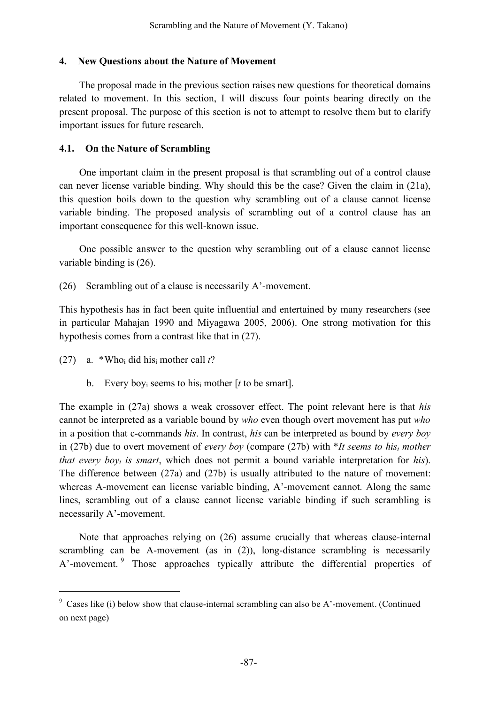#### **4. New Questions about the Nature of Movement**

The proposal made in the previous section raises new questions for theoretical domains related to movement. In this section, I will discuss four points bearing directly on the present proposal. The purpose of this section is not to attempt to resolve them but to clarify important issues for future research.

#### **4.1. On the Nature of Scrambling**

One important claim in the present proposal is that scrambling out of a control clause can never license variable binding. Why should this be the case? Given the claim in (21a), this question boils down to the question why scrambling out of a clause cannot license variable binding. The proposed analysis of scrambling out of a control clause has an important consequence for this well-known issue.

One possible answer to the question why scrambling out of a clause cannot license variable binding is (26).

(26) Scrambling out of a clause is necessarily A'-movement.

This hypothesis has in fact been quite influential and entertained by many researchers (see in particular Mahajan 1990 and Miyagawa 2005, 2006). One strong motivation for this hypothesis comes from a contrast like that in (27).

- (27) a. \*Whoi did hisi mother call *t*?
	- b. Every boyi seems to hisi mother [*t* to be smart].

The example in (27a) shows a weak crossover effect. The point relevant here is that *his* cannot be interpreted as a variable bound by *who* even though overt movement has put *who* in a position that c-commands *his*. In contrast, *his* can be interpreted as bound by *every boy* in (27b) due to overt movement of *every boy* (compare (27b) with \**It seems to hisi mother that every boyi is smart*, which does not permit a bound variable interpretation for *his*). The difference between (27a) and (27b) is usually attributed to the nature of movement: whereas A-movement can license variable binding, A'-movement cannot. Along the same lines, scrambling out of a clause cannot license variable binding if such scrambling is necessarily A'-movement.

Note that approaches relying on (26) assume crucially that whereas clause-internal scrambling can be A-movement (as in (2)), long-distance scrambling is necessarily A'-movement.<sup>9</sup> Those approaches typically attribute the differential properties of

 <sup>9</sup> Cases like (i) below show that clause-internal scrambling can also be A'-movement. (Continued on next page)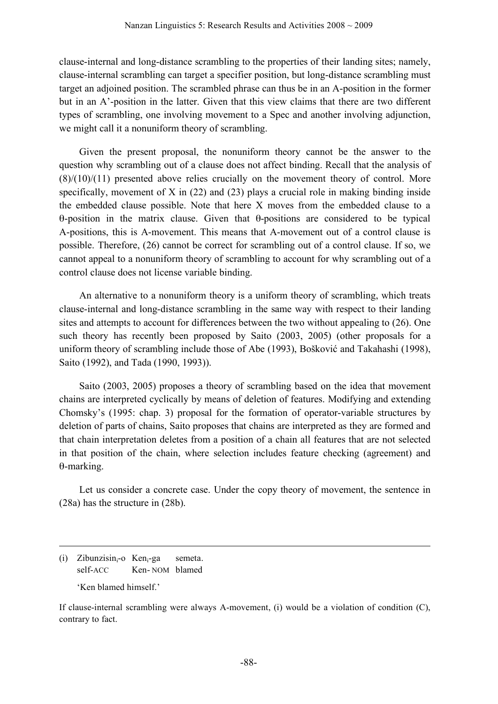clause-internal and long-distance scrambling to the properties of their landing sites; namely, clause-internal scrambling can target a specifier position, but long-distance scrambling must target an adjoined position. The scrambled phrase can thus be in an A-position in the former but in an A'-position in the latter. Given that this view claims that there are two different types of scrambling, one involving movement to a Spec and another involving adjunction, we might call it a nonuniform theory of scrambling.

Given the present proposal, the nonuniform theory cannot be the answer to the question why scrambling out of a clause does not affect binding. Recall that the analysis of  $(8)/(10)/(11)$  presented above relies crucially on the movement theory of control. More specifically, movement of X in (22) and (23) plays a crucial role in making binding inside the embedded clause possible. Note that here X moves from the embedded clause to a θ-position in the matrix clause. Given that θ-positions are considered to be typical A-positions, this is A-movement. This means that A-movement out of a control clause is possible. Therefore, (26) cannot be correct for scrambling out of a control clause. If so, we cannot appeal to a nonuniform theory of scrambling to account for why scrambling out of a control clause does not license variable binding.

An alternative to a nonuniform theory is a uniform theory of scrambling, which treats clause-internal and long-distance scrambling in the same way with respect to their landing sites and attempts to account for differences between the two without appealing to (26). One such theory has recently been proposed by Saito (2003, 2005) (other proposals for a uniform theory of scrambling include those of Abe (1993), Bošković and Takahashi (1998), Saito (1992), and Tada (1990, 1993)).

Saito (2003, 2005) proposes a theory of scrambling based on the idea that movement chains are interpreted cyclically by means of deletion of features. Modifying and extending Chomsky's (1995: chap. 3) proposal for the formation of operator-variable structures by deletion of parts of chains, Saito proposes that chains are interpreted as they are formed and that chain interpretation deletes from a position of a chain all features that are not selected in that position of the chain, where selection includes feature checking (agreement) and θ-marking.

Let us consider a concrete case. Under the copy theory of movement, the sentence in (28a) has the structure in (28b).

(i) Zibunzisini-o Keni-ga semeta. self-ACC Ken-NOM blamed 'Ken blamed himself.'

1

If clause-internal scrambling were always A-movement, (i) would be a violation of condition (C), contrary to fact.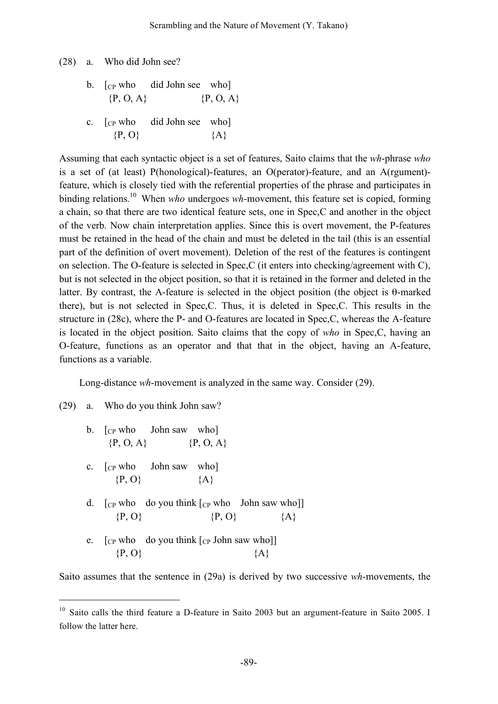(28) a. Who did John see?

b.  $\lceil$  c<sub>P</sub> who did John see who  ${P, O, A}$   ${P, O, A}$ 

c.  $[CP]$  who did John see who  $\{P, O\}$   $\{A\}$ 

Assuming that each syntactic object is a set of features, Saito claims that the *wh*-phrase *who* is a set of (at least) P(honological)-features, an O(perator)-feature, and an A(rgument) feature, which is closely tied with the referential properties of the phrase and participates in binding relations. <sup>10</sup> When *who* undergoes *wh*-movement, this feature set is copied, forming a chain, so that there are two identical feature sets, one in Spec,C and another in the object of the verb. Now chain interpretation applies. Since this is overt movement, the P-features must be retained in the head of the chain and must be deleted in the tail (this is an essential part of the definition of overt movement). Deletion of the rest of the features is contingent on selection. The O-feature is selected in Spec,C (it enters into checking/agreement with C), but is not selected in the object position, so that it is retained in the former and deleted in the latter. By contrast, the A-feature is selected in the object position (the object is θ-marked there), but is not selected in Spec,C. Thus, it is deleted in Spec,C. This results in the structure in (28c), where the P- and O-features are located in Spec,C, whereas the A-feature is located in the object position. Saito claims that the copy of *who* in Spec,C, having an O-feature, functions as an operator and that that in the object, having an A-feature, functions as a variable.

Long-distance *wh*-movement is analyzed in the same way. Consider (29).

(29) a. Who do you think John saw?

| b. $\lceil$ <sub>CP</sub> who John saw who<br>$\{P, O, A\}$ $\{P, O, A\}$                          |                    |  |
|----------------------------------------------------------------------------------------------------|--------------------|--|
| c. $\lceil$ <sub>CP</sub> who John saw who<br>$\{P, O\}$ $\{A\}$                                   |                    |  |
| d. $\lceil$ C <sub>P</sub> who do you think $\lceil$ C <sub>P</sub> who John saw who<br>$\{P, O\}$ | $\{P, O\}$ $\{A\}$ |  |
| e. $\lceil$ <sub>CP</sub> who do you think $\lceil$ <sub>CP</sub> John saw who<br>$\{P, O\}$       | ∤A∤                |  |

Saito assumes that the sentence in (29a) is derived by two successive *wh*-movements, the

<sup>&</sup>lt;sup>10</sup> Saito calls the third feature a D-feature in Saito 2003 but an argument-feature in Saito 2005. I follow the latter here.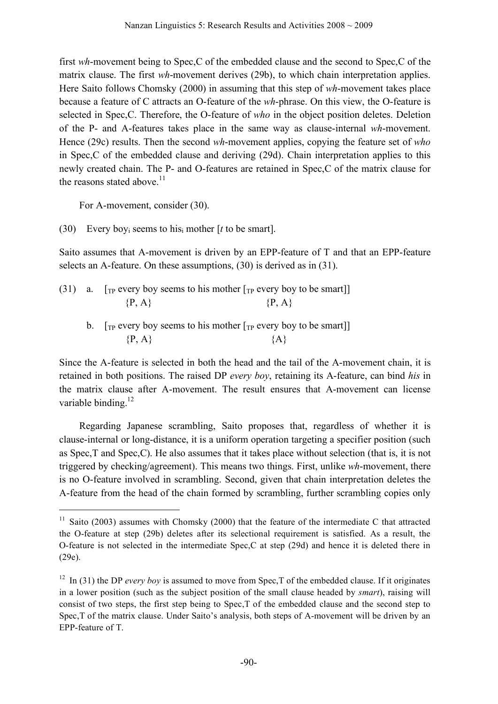first *wh*-movement being to Spec,C of the embedded clause and the second to Spec,C of the matrix clause. The first *wh*-movement derives (29b), to which chain interpretation applies. Here Saito follows Chomsky (2000) in assuming that this step of *wh*-movement takes place because a feature of C attracts an O-feature of the *wh*-phrase. On this view, the O-feature is selected in Spec,C. Therefore, the O-feature of *who* in the object position deletes. Deletion of the P- and A-features takes place in the same way as clause-internal *wh*-movement. Hence (29c) results. Then the second *wh*-movement applies, copying the feature set of *who* in Spec,C of the embedded clause and deriving (29d). Chain interpretation applies to this newly created chain. The P- and O-features are retained in Spec,C of the matrix clause for the reasons stated above.<sup>11</sup>

For A-movement, consider (30).

(30) Every boyi seems to hisi mother [*t* to be smart].

Saito assumes that A-movement is driven by an EPP-feature of T and that an EPP-feature selects an A-feature. On these assumptions, (30) is derived as in (31).

|  |            | (31) a. [The every boy seems to his mother $[T_P \text{ every boy to be smart}]]$              |
|--|------------|------------------------------------------------------------------------------------------------|
|  | $\{P, A\}$ | $\{P, A\}$                                                                                     |
|  |            | $\lceil_{\text{TD}}$ every hov seems to his mother $\lceil_{\text{TD}}$ every hov to be smart] |

 $\mathcal{D}$ . [The every boy seems to his mother [The every boy to be smart]]  ${P, A}$   ${A}$ 

Since the A-feature is selected in both the head and the tail of the A-movement chain, it is retained in both positions. The raised DP *every boy*, retaining its A-feature, can bind *his* in the matrix clause after A-movement. The result ensures that A-movement can license variable binding. $^{12}$ 

Regarding Japanese scrambling, Saito proposes that, regardless of whether it is clause-internal or long-distance, it is a uniform operation targeting a specifier position (such as Spec,T and Spec,C). He also assumes that it takes place without selection (that is, it is not triggered by checking/agreement). This means two things. First, unlike *wh*-movement, there is no O-feature involved in scrambling. Second, given that chain interpretation deletes the A-feature from the head of the chain formed by scrambling, further scrambling copies only

 $11$  Saito (2003) assumes with Chomsky (2000) that the feature of the intermediate C that attracted the O-feature at step (29b) deletes after its selectional requirement is satisfied. As a result, the O-feature is not selected in the intermediate Spec,C at step (29d) and hence it is deleted there in (29e).

<sup>12</sup> In (31) the DP *every boy* is assumed to move from Spec,T of the embedded clause. If it originates in a lower position (such as the subject position of the small clause headed by *smart*), raising will consist of two steps, the first step being to Spec,T of the embedded clause and the second step to Spec,T of the matrix clause. Under Saito's analysis, both steps of A-movement will be driven by an EPP-feature of T.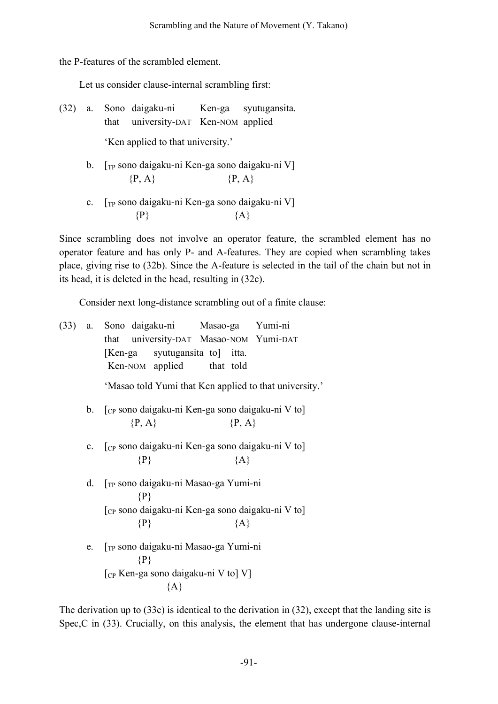the P-features of the scrambled element.

Let us consider clause-internal scrambling first:

- (32) a. Sono daigaku-ni Ken-ga syutugansita. that university-DAT Ken-NOM applied 'Ken applied to that university.'
	- b. [TP sono daigaku-ni Ken-ga sono daigaku-ni V]  ${P, A}$   ${P, A}$
	- c. [TP sono daigaku-ni Ken-ga sono daigaku-ni V]  $\{P\}$   $\{A\}$

Since scrambling does not involve an operator feature, the scrambled element has no operator feature and has only P- and A-features. They are copied when scrambling takes place, giving rise to (32b). Since the A-feature is selected in the tail of the chain but not in its head, it is deleted in the head, resulting in (32c).

Consider next long-distance scrambling out of a finite clause:

|                | (33) a. Sono daigaku-ni Masao-ga Yumi-ni                                               |  |  |  |  |  |
|----------------|----------------------------------------------------------------------------------------|--|--|--|--|--|
|                | university-DAT Masao-NOM Yumi-DAT<br>that                                              |  |  |  |  |  |
|                | [Ken-ga syutugansita to] itta.                                                         |  |  |  |  |  |
|                | Ken-NOM applied that told                                                              |  |  |  |  |  |
|                | 'Masao told Yumi that Ken applied to that university.'                                 |  |  |  |  |  |
| $b_{\cdot}$    | [cp sono daigaku-ni Ken-ga sono daigaku-ni V to]                                       |  |  |  |  |  |
|                | $\{P, A\}$<br>$\{P, A\}$                                                               |  |  |  |  |  |
|                |                                                                                        |  |  |  |  |  |
| $\mathbf{c}$ . | $\lceil$ <sub>CP</sub> sono daigaku-ni Ken-ga sono daigaku-ni V to<br>${A}$<br>$\{P\}$ |  |  |  |  |  |
|                |                                                                                        |  |  |  |  |  |
| d.             | [TP sono daigaku-ni Masao-ga Yumi-ni                                                   |  |  |  |  |  |
|                | $\{P\}$                                                                                |  |  |  |  |  |
|                | [cp sono daigaku-ni Ken-ga sono daigaku-ni V to]                                       |  |  |  |  |  |
|                | $\{P\}$<br>${A}$                                                                       |  |  |  |  |  |
| e.             | [ <sub>TP</sub> sono daigaku-ni Masao-ga Yumi-ni                                       |  |  |  |  |  |
|                | $\{P\}$                                                                                |  |  |  |  |  |
|                | $\lceil_{CP}$ Ken-ga sono daigaku-ni V to] V]                                          |  |  |  |  |  |
|                | ${A}$                                                                                  |  |  |  |  |  |

The derivation up to (33c) is identical to the derivation in (32), except that the landing site is Spec,C in (33). Crucially, on this analysis, the element that has undergone clause-internal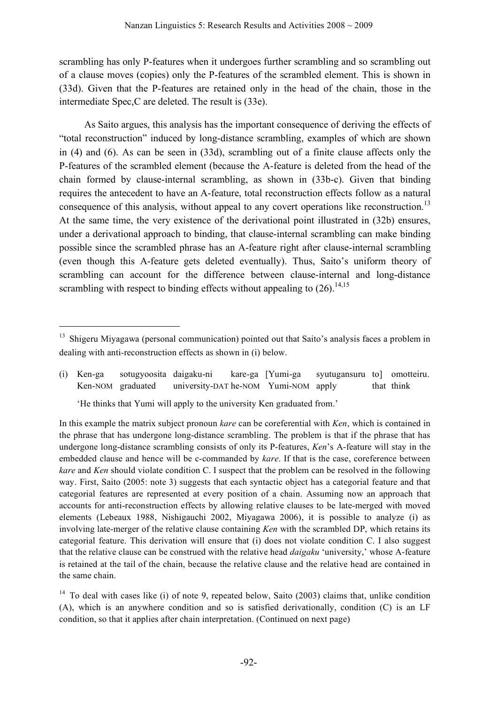scrambling has only P-features when it undergoes further scrambling and so scrambling out of a clause moves (copies) only the P-features of the scrambled element. This is shown in (33d). Given that the P-features are retained only in the head of the chain, those in the intermediate Spec,C are deleted. The result is (33e).

As Saito argues, this analysis has the important consequence of deriving the effects of "total reconstruction" induced by long-distance scrambling, examples of which are shown in (4) and (6). As can be seen in (33d), scrambling out of a finite clause affects only the P-features of the scrambled element (because the A-feature is deleted from the head of the chain formed by clause-internal scrambling, as shown in (33b-c). Given that binding requires the antecedent to have an A-feature, total reconstruction effects follow as a natural consequence of this analysis, without appeal to any covert operations like reconstruction.<sup>13</sup> At the same time, the very existence of the derivational point illustrated in (32b) ensures, under a derivational approach to binding, that clause-internal scrambling can make binding possible since the scrambled phrase has an A-feature right after clause-internal scrambling (even though this A-feature gets deleted eventually). Thus, Saito's uniform theory of scrambling can account for the difference between clause-internal and long-distance scrambling with respect to binding effects without appealing to  $(26)$ .<sup>14,15</sup>

(i) Ken-ga sotugyoosita daigaku-ni kare-ga [Yumi-ga syutugansuru to] omotteiru. Ken-NOM graduated university-DAT he-NOM Yumi-NOM apply that think

<sup>&</sup>lt;sup>13</sup> Shigeru Miyagawa (personal communication) pointed out that Saito's analysis faces a problem in dealing with anti-reconstruction effects as shown in (i) below.

<sup>&#</sup>x27;He thinks that Yumi will apply to the university Ken graduated from.'

In this example the matrix subject pronoun *kare* can be coreferential with *Ken*, which is contained in the phrase that has undergone long-distance scrambling. The problem is that if the phrase that has undergone long-distance scrambling consists of only its P-features, *Ken*'s A-feature will stay in the embedded clause and hence will be c-commanded by *kare*. If that is the case, coreference between *kare* and *Ken* should violate condition C. I suspect that the problem can be resolved in the following way. First, Saito (2005: note 3) suggests that each syntactic object has a categorial feature and that categorial features are represented at every position of a chain. Assuming now an approach that accounts for anti-reconstruction effects by allowing relative clauses to be late-merged with moved elements (Lebeaux 1988, Nishigauchi 2002, Miyagawa 2006), it is possible to analyze (i) as involving late-merger of the relative clause containing *Ken* with the scrambled DP, which retains its categorial feature. This derivation will ensure that (i) does not violate condition C. I also suggest that the relative clause can be construed with the relative head *daigaku* 'university,' whose A-feature is retained at the tail of the chain, because the relative clause and the relative head are contained in the same chain.

<sup>&</sup>lt;sup>14</sup> To deal with cases like (i) of note 9, repeated below, Saito (2003) claims that, unlike condition (A), which is an anywhere condition and so is satisfied derivationally, condition (C) is an LF condition, so that it applies after chain interpretation. (Continued on next page)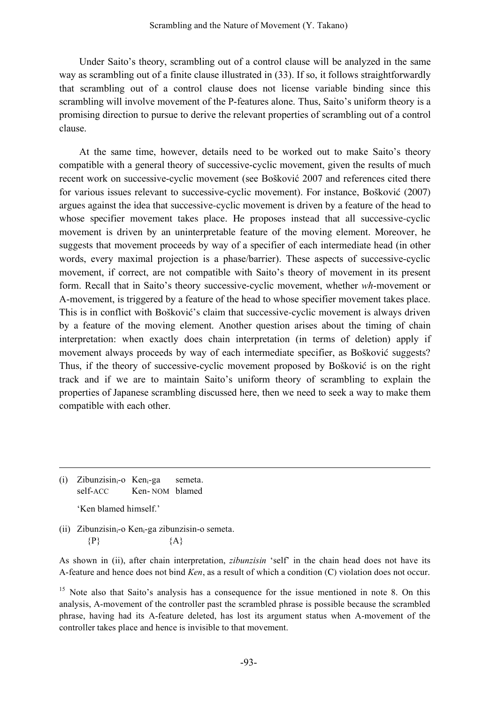Under Saito's theory, scrambling out of a control clause will be analyzed in the same way as scrambling out of a finite clause illustrated in (33). If so, it follows straightforwardly that scrambling out of a control clause does not license variable binding since this scrambling will involve movement of the P-features alone. Thus, Saito's uniform theory is a promising direction to pursue to derive the relevant properties of scrambling out of a control clause.

At the same time, however, details need to be worked out to make Saito's theory compatible with a general theory of successive-cyclic movement, given the results of much recent work on successive-cyclic movement (see Bošković 2007 and references cited there for various issues relevant to successive-cyclic movement). For instance, Bošković (2007) argues against the idea that successive-cyclic movement is driven by a feature of the head to whose specifier movement takes place. He proposes instead that all successive-cyclic movement is driven by an uninterpretable feature of the moving element. Moreover, he suggests that movement proceeds by way of a specifier of each intermediate head (in other words, every maximal projection is a phase/barrier). These aspects of successive-cyclic movement, if correct, are not compatible with Saito's theory of movement in its present form. Recall that in Saito's theory successive-cyclic movement, whether *wh*-movement or A-movement, is triggered by a feature of the head to whose specifier movement takes place. This is in conflict with Bošković's claim that successive-cyclic movement is always driven by a feature of the moving element. Another question arises about the timing of chain interpretation: when exactly does chain interpretation (in terms of deletion) apply if movement always proceeds by way of each intermediate specifier, as Bošković suggests? Thus, if the theory of successive-cyclic movement proposed by Bošković is on the right track and if we are to maintain Saito's uniform theory of scrambling to explain the properties of Japanese scrambling discussed here, then we need to seek a way to make them compatible with each other.

(i) Zibunzisin<sub>i</sub>-o Ken<sub>i</sub>-ga semeta. self-ACC Ken- NOM blamed 'Ken blamed himself'

1

(ii) Zibunzisin<sub>i</sub>-o Ken<sub>i</sub>-ga zibunzisin-o semeta.  $\{P\}$   $\{A\}$ 

As shown in (ii), after chain interpretation, *zibunzisin* 'self' in the chain head does not have its A-feature and hence does not bind *Ken*, as a result of which a condition (C) violation does not occur.

<sup>15</sup> Note also that Saito's analysis has a consequence for the issue mentioned in note 8. On this analysis, A-movement of the controller past the scrambled phrase is possible because the scrambled phrase, having had its A-feature deleted, has lost its argument status when A-movement of the controller takes place and hence is invisible to that movement.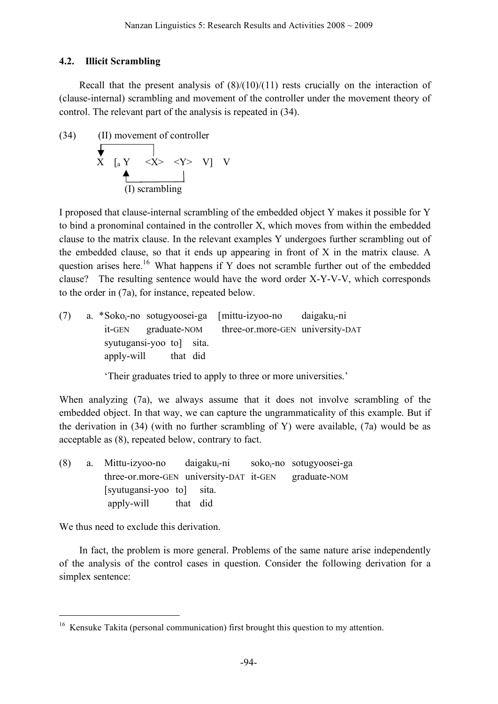## **4.2. Illicit Scrambling**

Recall that the present analysis of  $(8)/(10)/(11)$  rests crucially on the interaction of (clause-internal) scrambling and movement of the controller under the movement theory of control. The relevant part of the analysis is repeated in (34).

(34) (II) movement of controller  
\n
$$
\overline{X} \begin{array}{ccc} & & & \\ \hline & & & \\ \hline & & & \\ & & & \\ \hline & & & \\ \hline & & & \\ \hline & & & \\ \hline & & & \\ \hline \end{array}
$$
\n(1) scrambling

I proposed that clause-internal scrambling of the embedded object Y makes it possible for Y to bind a pronominal contained in the controller X, which moves from within the embedded clause to the matrix clause. In the relevant examples Y undergoes further scrambling out of the embedded clause, so that it ends up appearing in front of X in the matrix clause. A question arises here.<sup>16</sup> What happens if Y does not scramble further out of the embedded clause? The resulting sentence would have the word order X-Y-V-V, which corresponds to the order in (7a), for instance, repeated below.

(7) a. \*Sokoi-no sotugyoosei-ga [mittu-izyoo-no daigakui-ni it-GEN graduate-NOM three-or.more-GEN university-DAT syutugansi-yoo to] sita. apply-will that did

'Their graduates tried to apply to three or more universities.'

When analyzing (7a), we always assume that it does not involve scrambling of the embedded object. In that way, we can capture the ungrammaticality of this example. But if the derivation in (34) (with no further scrambling of Y) were available, (7a) would be as acceptable as (8), repeated below, contrary to fact.

 $(8)$  a. Mittu-izyoo-no daigaku<sub>i</sub>-ni soko<sub>i</sub>-no sotugyoosei-ga three-or.more-GEN university-DAT it-GEN graduate-NOM [syutugansi-yoo to] sita. apply-will that did

We thus need to exclude this derivation.

In fact, the problem is more general. Problems of the same nature arise independently of the analysis of the control cases in question. Consider the following derivation for a simplex sentence:

<sup>&</sup>lt;sup>16</sup> Kensuke Takita (personal communication) first brought this question to my attention.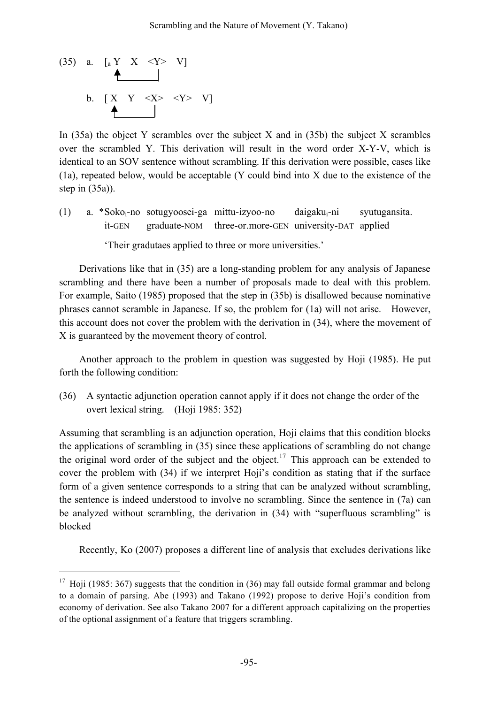$(35)$  a.  $\left[\begin{array}{ccc} 1 & 0 \\ 0 & \end{array}\right]$   $\left[\begin{array}{ccc} 2 & 0 \\ 0 & \end{array}\right]$   $\left[\begin{array}{ccc} 2 & 0 \\ 0 & \end{array}\right]$ b.  $[X \ Y \ \leq X \geq \ \leq Y \geq V]$ 

In  $(35a)$  the object Y scrambles over the subject X and in  $(35b)$  the subject X scrambles over the scrambled Y. This derivation will result in the word order X-Y-V, which is identical to an SOV sentence without scrambling. If this derivation were possible, cases like (1a), repeated below, would be acceptable (Y could bind into X due to the existence of the step in (35a)).

(1) a.  $*Soko_i-no\ software$ sotugyoosei-ga mittu-izyoo-no daigaku<sub>i</sub>-ni syutugansita. it-GEN graduate-NOM three-or.more-GEN university-DAT applied

'Their gradutaes applied to three or more universities.'

Derivations like that in (35) are a long-standing problem for any analysis of Japanese scrambling and there have been a number of proposals made to deal with this problem. For example, Saito (1985) proposed that the step in (35b) is disallowed because nominative phrases cannot scramble in Japanese. If so, the problem for (1a) will not arise. However, this account does not cover the problem with the derivation in (34), where the movement of X is guaranteed by the movement theory of control.

Another approach to the problem in question was suggested by Hoji (1985). He put forth the following condition:

(36) A syntactic adjunction operation cannot apply if it does not change the order of the overt lexical string. (Hoji 1985: 352)

Assuming that scrambling is an adjunction operation, Hoji claims that this condition blocks the applications of scrambling in (35) since these applications of scrambling do not change the original word order of the subject and the object.<sup>17</sup> This approach can be extended to cover the problem with (34) if we interpret Hoji's condition as stating that if the surface form of a given sentence corresponds to a string that can be analyzed without scrambling, the sentence is indeed understood to involve no scrambling. Since the sentence in (7a) can be analyzed without scrambling, the derivation in (34) with "superfluous scrambling" is blocked

Recently, Ko (2007) proposes a different line of analysis that excludes derivations like

<sup>&</sup>lt;sup>17</sup> Hoji (1985: 367) suggests that the condition in (36) may fall outside formal grammar and belong to a domain of parsing. Abe (1993) and Takano (1992) propose to derive Hoji's condition from economy of derivation. See also Takano 2007 for a different approach capitalizing on the properties of the optional assignment of a feature that triggers scrambling.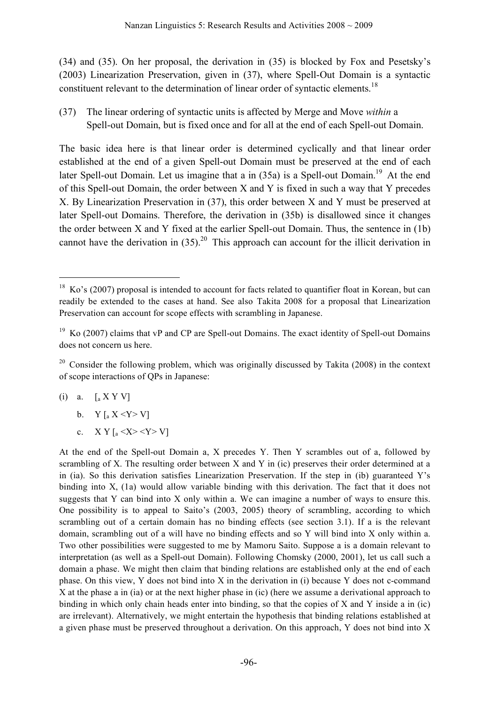(34) and (35). On her proposal, the derivation in (35) is blocked by Fox and Pesetsky's (2003) Linearization Preservation, given in (37), where Spell-Out Domain is a syntactic constituent relevant to the determination of linear order of syntactic elements.<sup>18</sup>

(37) The linear ordering of syntactic units is affected by Merge and Move *within* a Spell-out Domain, but is fixed once and for all at the end of each Spell-out Domain.

The basic idea here is that linear order is determined cyclically and that linear order established at the end of a given Spell-out Domain must be preserved at the end of each later Spell-out Domain. Let us imagine that a in (35a) is a Spell-out Domain.<sup>19</sup> At the end of this Spell-out Domain, the order between X and Y is fixed in such a way that Y precedes X. By Linearization Preservation in (37), this order between X and Y must be preserved at later Spell-out Domains. Therefore, the derivation in (35b) is disallowed since it changes the order between X and Y fixed at the earlier Spell-out Domain. Thus, the sentence in (1b) cannot have the derivation in  $(35)$ .<sup>20</sup> This approach can account for the illicit derivation in

(i) a.  $\left[ _{a}\times Y\right]$ 

b.  $Y [a X < Y > V]$ 

c.  $X Y \left[ \frac{1}{2} \langle X \rangle \langle Y \rangle V \right]$ 

 $18$  Ko's (2007) proposal is intended to account for facts related to quantifier float in Korean, but can readily be extended to the cases at hand. See also Takita 2008 for a proposal that Linearization Preservation can account for scope effects with scrambling in Japanese.

<sup>&</sup>lt;sup>19</sup> Ko (2007) claims that vP and CP are Spell-out Domains. The exact identity of Spell-out Domains does not concern us here.

 $20$  Consider the following problem, which was originally discussed by Takita (2008) in the context of scope interactions of QPs in Japanese:

At the end of the Spell-out Domain a, X precedes Y. Then Y scrambles out of a, followed by scrambling of X. The resulting order between X and Y in (ic) preserves their order determined at a in (ia). So this derivation satisfies Linearization Preservation. If the step in (ib) guaranteed Y's binding into X, (1a) would allow variable binding with this derivation. The fact that it does not suggests that Y can bind into X only within a. We can imagine a number of ways to ensure this. One possibility is to appeal to Saito's (2003, 2005) theory of scrambling, according to which scrambling out of a certain domain has no binding effects (see section 3.1). If a is the relevant domain, scrambling out of a will have no binding effects and so Y will bind into X only within a. Two other possibilities were suggested to me by Mamoru Saito. Suppose a is a domain relevant to interpretation (as well as a Spell-out Domain). Following Chomsky (2000, 2001), let us call such a domain a phase. We might then claim that binding relations are established only at the end of each phase. On this view, Y does not bind into X in the derivation in (i) because Y does not c-command X at the phase a in (ia) or at the next higher phase in (ic) (here we assume a derivational approach to binding in which only chain heads enter into binding, so that the copies of X and Y inside a in (ic) are irrelevant). Alternatively, we might entertain the hypothesis that binding relations established at a given phase must be preserved throughout a derivation. On this approach, Y does not bind into X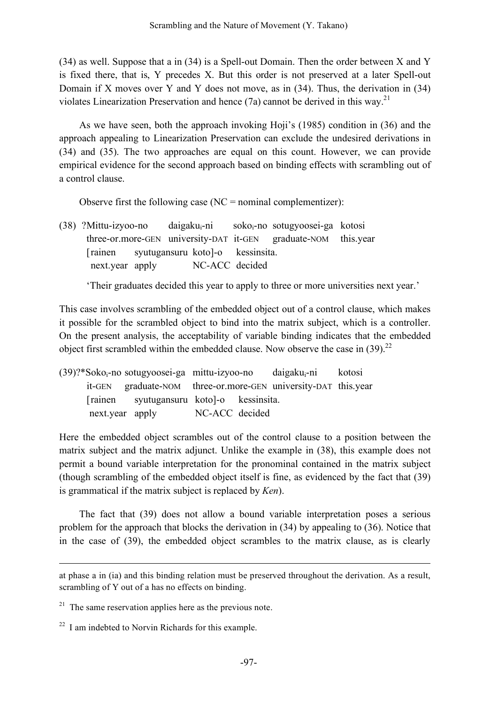(34) as well. Suppose that a in (34) is a Spell-out Domain. Then the order between X and Y is fixed there, that is, Y precedes X. But this order is not preserved at a later Spell-out Domain if X moves over Y and Y does not move, as in (34). Thus, the derivation in (34) violates Linearization Preservation and hence  $(7a)$  cannot be derived in this way.<sup>21</sup>

As we have seen, both the approach invoking Hoji's (1985) condition in (36) and the approach appealing to Linearization Preservation can exclude the undesired derivations in (34) and (35). The two approaches are equal on this count. However, we can provide empirical evidence for the second approach based on binding effects with scrambling out of a control clause.

Observe first the following case ( $NC =$  nominal complementizer):

(38) ?Mittu-izyoo-no daigaku<sub>i</sub>-ni soko<sub>i</sub>-no sotugyoosei-ga kotosi three-or.more-GEN university-DAT it-GEN graduate-NOM this.year [rainen syutugansuru koto]-o kessinsita. next.year apply NC-ACC decided

'Their graduates decided this year to apply to three or more universities next year.'

This case involves scrambling of the embedded object out of a control clause, which makes it possible for the scrambled object to bind into the matrix subject, which is a controller. On the present analysis, the acceptability of variable binding indicates that the embedded object first scrambled within the embedded clause. Now observe the case in  $(39)$ .<sup>22</sup>

 $(39)$ ?\*Soko<sub>i</sub>-no sotugyoosei-ga mittu-izyoo-no daigaku<sub>i</sub>-ni kotosi it-GEN graduate-NOM three-or.more-GEN university-DAT this.year [rainen syutugansuru koto]-o kessinsita. next.year apply NC-ACC decided

Here the embedded object scrambles out of the control clause to a position between the matrix subject and the matrix adjunct. Unlike the example in (38), this example does not permit a bound variable interpretation for the pronominal contained in the matrix subject (though scrambling of the embedded object itself is fine, as evidenced by the fact that (39) is grammatical if the matrix subject is replaced by *Ken*).

The fact that (39) does not allow a bound variable interpretation poses a serious problem for the approach that blocks the derivation in (34) by appealing to (36). Notice that in the case of (39), the embedded object scrambles to the matrix clause, as is clearly

<u>.</u>

at phase a in (ia) and this binding relation must be preserved throughout the derivation. As a result, scrambling of Y out of a has no effects on binding.

 $21$  The same reservation applies here as the previous note.

 $22$  I am indebted to Norvin Richards for this example.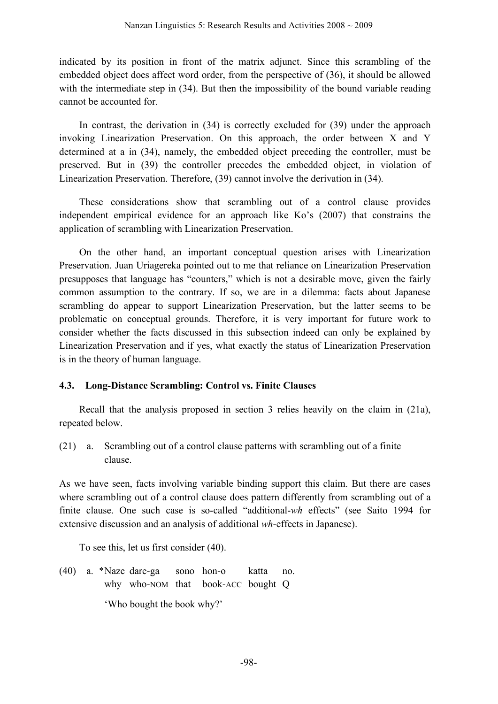indicated by its position in front of the matrix adjunct. Since this scrambling of the embedded object does affect word order, from the perspective of (36), it should be allowed with the intermediate step in (34). But then the impossibility of the bound variable reading cannot be accounted for.

In contrast, the derivation in (34) is correctly excluded for (39) under the approach invoking Linearization Preservation. On this approach, the order between X and Y determined at a in (34), namely, the embedded object preceding the controller, must be preserved. But in (39) the controller precedes the embedded object, in violation of Linearization Preservation. Therefore, (39) cannot involve the derivation in (34).

These considerations show that scrambling out of a control clause provides independent empirical evidence for an approach like Ko's (2007) that constrains the application of scrambling with Linearization Preservation.

On the other hand, an important conceptual question arises with Linearization Preservation. Juan Uriagereka pointed out to me that reliance on Linearization Preservation presupposes that language has "counters," which is not a desirable move, given the fairly common assumption to the contrary. If so, we are in a dilemma: facts about Japanese scrambling do appear to support Linearization Preservation, but the latter seems to be problematic on conceptual grounds. Therefore, it is very important for future work to consider whether the facts discussed in this subsection indeed can only be explained by Linearization Preservation and if yes, what exactly the status of Linearization Preservation is in the theory of human language.

## **4.3. Long-Distance Scrambling: Control vs. Finite Clauses**

Recall that the analysis proposed in section 3 relies heavily on the claim in (21a), repeated below.

(21) a. Scrambling out of a control clause patterns with scrambling out of a finite clause.

As we have seen, facts involving variable binding support this claim. But there are cases where scrambling out of a control clause does pattern differently from scrambling out of a finite clause. One such case is so-called "additional-*wh* effects" (see Saito 1994 for extensive discussion and an analysis of additional *wh*-effects in Japanese).

To see this, let us first consider (40).

(40) a. \*Naze dare-ga sono hon-o katta no. why who-NOM that book-ACC bought Q 'Who bought the book why?'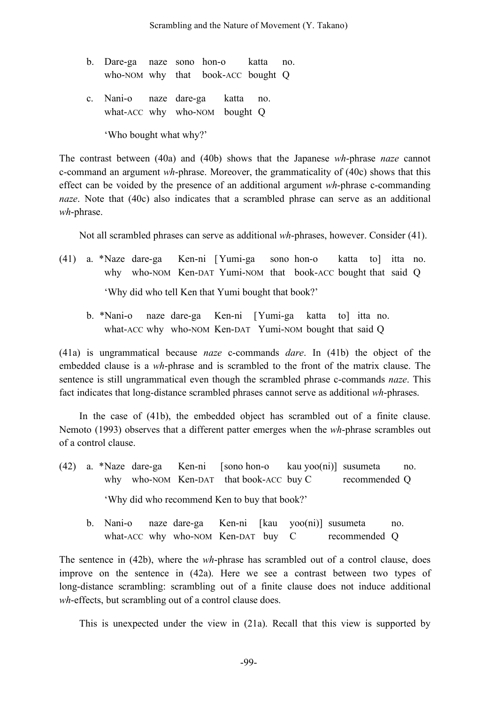- b. Dare-ga naze sono hon-o katta no. who-NOM why that book-ACC bought Q
- c. Nani-o naze dare-ga katta no. what-ACC why who-NOM bought Q

'Who bought what why?'

The contrast between (40a) and (40b) shows that the Japanese *wh*-phrase *naze* cannot c-command an argument *wh*-phrase. Moreover, the grammaticality of (40c) shows that this effect can be voided by the presence of an additional argument *wh*-phrase c-commanding *naze*. Note that (40c) also indicates that a scrambled phrase can serve as an additional *wh*-phrase.

Not all scrambled phrases can serve as additional *wh*-phrases, however. Consider (41).

- (41) a. \*Naze dare-ga Ken-ni [Yumi-ga sono hon-o katta to] itta no. why who-NOM Ken-DAT Yumi-NOM that book-ACC bought that said Q 'Why did who tell Ken that Yumi bought that book?'
	- b. \*Nani-o naze dare-ga Ken-ni [Yumi-ga katta to] itta no. what-ACC why who-NOM Ken-DAT Yumi-NOM bought that said Q

(41a) is ungrammatical because *naze* c-commands *dare*. In (41b) the object of the embedded clause is a *wh*-phrase and is scrambled to the front of the matrix clause. The sentence is still ungrammatical even though the scrambled phrase c-commands *naze*. This fact indicates that long-distance scrambled phrases cannot serve as additional *wh*-phrases.

In the case of (41b), the embedded object has scrambled out of a finite clause. Nemoto (1993) observes that a different patter emerges when the *wh*-phrase scrambles out of a control clause.

- (42) a. \*Naze dare-ga Ken-ni [sono hon-o kau yoo(ni)] susumeta no. why who-NOM Ken-DAT that book-ACC buy C recommended Q 'Why did who recommend Ken to buy that book?'
	- b. Nani-o naze dare-ga Ken-ni [kau yoo(ni)] susumeta no. what-ACC why who-NOM Ken-DAT buy C recommended Q

The sentence in (42b), where the *wh*-phrase has scrambled out of a control clause, does improve on the sentence in (42a). Here we see a contrast between two types of long-distance scrambling: scrambling out of a finite clause does not induce additional *wh*-effects, but scrambling out of a control clause does.

This is unexpected under the view in (21a). Recall that this view is supported by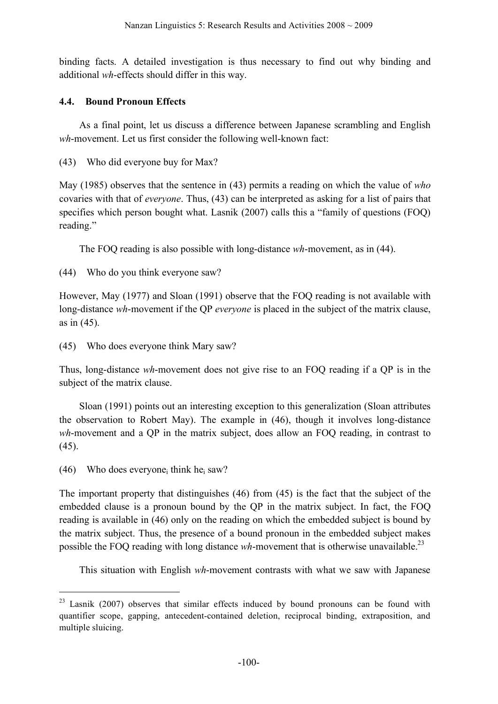binding facts. A detailed investigation is thus necessary to find out why binding and additional *wh*-effects should differ in this way.

## **4.4. Bound Pronoun Effects**

As a final point, let us discuss a difference between Japanese scrambling and English *wh*-movement. Let us first consider the following well-known fact:

(43) Who did everyone buy for Max?

May (1985) observes that the sentence in (43) permits a reading on which the value of *who* covaries with that of *everyone*. Thus, (43) can be interpreted as asking for a list of pairs that specifies which person bought what. Lasnik (2007) calls this a "family of questions (FOQ) reading."

The FOQ reading is also possible with long-distance *wh*-movement, as in (44).

(44) Who do you think everyone saw?

However, May (1977) and Sloan (1991) observe that the FOQ reading is not available with long-distance *wh*-movement if the QP *everyone* is placed in the subject of the matrix clause, as in (45).

(45) Who does everyone think Mary saw?

Thus, long-distance *wh*-movement does not give rise to an FOQ reading if a QP is in the subject of the matrix clause.

Sloan (1991) points out an interesting exception to this generalization (Sloan attributes the observation to Robert May). The example in (46), though it involves long-distance *wh*-movement and a QP in the matrix subject, does allow an FOQ reading, in contrast to (45).

(46) Who does everyone think he saw?

The important property that distinguishes (46) from (45) is the fact that the subject of the embedded clause is a pronoun bound by the QP in the matrix subject. In fact, the FOQ reading is available in (46) only on the reading on which the embedded subject is bound by the matrix subject. Thus, the presence of a bound pronoun in the embedded subject makes possible the FOQ reading with long distance wh-movement that is otherwise unavailable.<sup>23</sup>

This situation with English *wh*-movement contrasts with what we saw with Japanese

<sup>&</sup>lt;sup>23</sup> Lasnik (2007) observes that similar effects induced by bound pronouns can be found with quantifier scope, gapping, antecedent-contained deletion, reciprocal binding, extraposition, and multiple sluicing.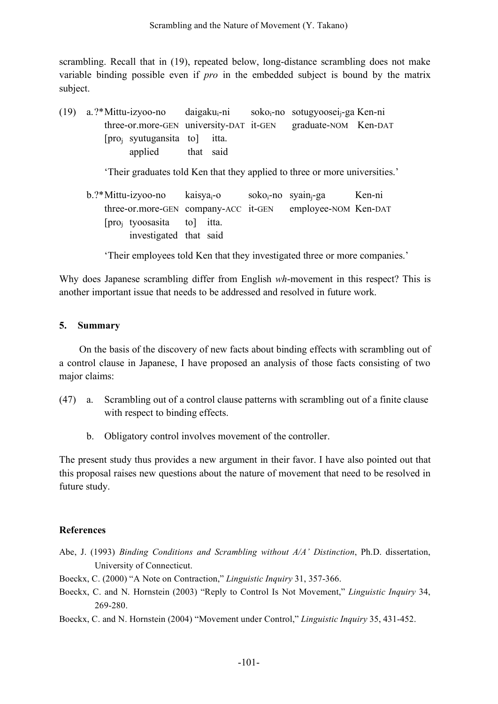scrambling. Recall that in (19), repeated below, long-distance scrambling does not make variable binding possible even if *pro* in the embedded subject is bound by the matrix subject.

(19) a.?\*Mittu-izyoo-no daigakui-ni sokoi-no sotugyooseij-ga Ken-ni three-or.more-GEN university-DAT it-GEN graduate-NOM Ken-DAT [proj syutugansita to] itta. applied that said

'Their graduates told Ken that they applied to three or more universities.'

 $b.^*$ Mittu-izyoo-no kaisya<sub>i</sub>-o soko<sub>i</sub>-no syain<sub>i</sub>-ga Ken-ni three-or.more-GEN company-ACC it-GEN employee-NOM Ken-DAT [proj tyoosasita to] itta. investigated that said

'Their employees told Ken that they investigated three or more companies.'

Why does Japanese scrambling differ from English *wh*-movement in this respect? This is another important issue that needs to be addressed and resolved in future work.

#### **5. Summary**

On the basis of the discovery of new facts about binding effects with scrambling out of a control clause in Japanese, I have proposed an analysis of those facts consisting of two major claims:

- (47) a. Scrambling out of a control clause patterns with scrambling out of a finite clause with respect to binding effects.
	- b. Obligatory control involves movement of the controller.

The present study thus provides a new argument in their favor. I have also pointed out that this proposal raises new questions about the nature of movement that need to be resolved in future study.

#### **References**

- Abe, J. (1993) *Binding Conditions and Scrambling without A/A' Distinction*, Ph.D. dissertation, University of Connecticut.
- Boeckx, C. (2000) "A Note on Contraction," *Linguistic Inquiry* 31, 357-366.
- Boeckx, C. and N. Hornstein (2003) "Reply to Control Is Not Movement," *Linguistic Inquiry* 34, 269-280.
- Boeckx, C. and N. Hornstein (2004) "Movement under Control," *Linguistic Inquiry* 35, 431-452.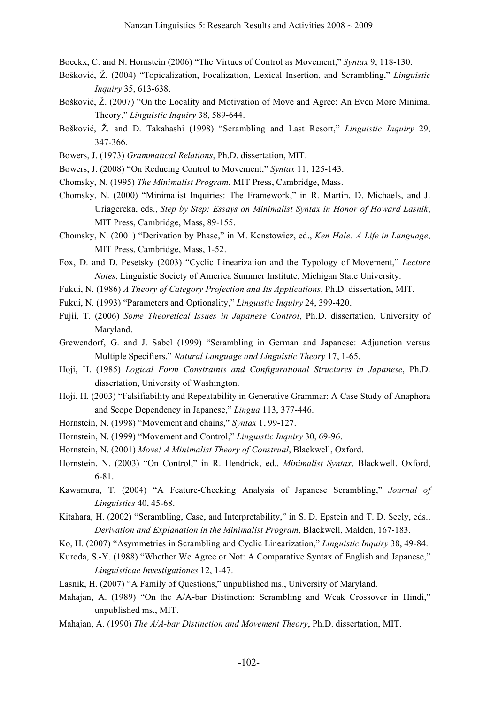- Boeckx, C. and N. Hornstein (2006) "The Virtues of Control as Movement," *Syntax* 9, 118-130.
- Bošković, Ž. (2004) "Topicalization, Focalization, Lexical Insertion, and Scrambling," *Linguistic Inquiry* 35, 613-638.
- Bošković, Ž. (2007) "On the Locality and Motivation of Move and Agree: An Even More Minimal Theory," *Linguistic Inquiry* 38, 589-644.
- Bošković, Ž. and D. Takahashi (1998) "Scrambling and Last Resort," *Linguistic Inquiry* 29, 347-366.
- Bowers, J. (1973) *Grammatical Relations*, Ph.D. dissertation, MIT.
- Bowers, J. (2008) "On Reducing Control to Movement," *Syntax* 11, 125-143.
- Chomsky, N. (1995) *The Minimalist Program*, MIT Press, Cambridge, Mass.
- Chomsky, N. (2000) "Minimalist Inquiries: The Framework," in R. Martin, D. Michaels, and J. Uriagereka, eds., *Step by Step: Essays on Minimalist Syntax in Honor of Howard Lasnik*, MIT Press, Cambridge, Mass, 89-155.
- Chomsky, N. (2001) "Derivation by Phase," in M. Kenstowicz, ed., *Ken Hale: A Life in Language*, MIT Press, Cambridge, Mass, 1-52.
- Fox, D. and D. Pesetsky (2003) "Cyclic Linearization and the Typology of Movement," *Lecture Notes*, Linguistic Society of America Summer Institute, Michigan State University.
- Fukui, N. (1986) *A Theory of Category Projection and Its Applications*, Ph.D. dissertation, MIT.
- Fukui, N. (1993) "Parameters and Optionality," *Linguistic Inquiry* 24, 399-420.
- Fujii, T. (2006) *Some Theoretical Issues in Japanese Control*, Ph.D. dissertation, University of Maryland.
- Grewendorf, G. and J. Sabel (1999) "Scrambling in German and Japanese: Adjunction versus Multiple Specifiers," *Natural Language and Linguistic Theory* 17, 1-65.
- Hoji, H. (1985) *Logical Form Constraints and Configurational Structures in Japanese*, Ph.D. dissertation, University of Washington.
- Hoji, H. (2003) "Falsifiability and Repeatability in Generative Grammar: A Case Study of Anaphora and Scope Dependency in Japanese," *Lingua* 113, 377-446.
- Hornstein, N. (1998) "Movement and chains," *Syntax* 1, 99-127.
- Hornstein, N. (1999) "Movement and Control," *Linguistic Inquiry* 30, 69-96.
- Hornstein, N. (2001) *Move! A Minimalist Theory of Construal*, Blackwell, Oxford.
- Hornstein, N. (2003) "On Control," in R. Hendrick, ed., *Minimalist Syntax*, Blackwell, Oxford, 6-81.
- Kawamura, T. (2004) "A Feature-Checking Analysis of Japanese Scrambling," *Journal of Linguistics* 40, 45-68.
- Kitahara, H. (2002) "Scrambling, Case, and Interpretability," in S. D. Epstein and T. D. Seely, eds., *Derivation and Explanation in the Minimalist Program*, Blackwell, Malden, 167-183.
- Ko, H. (2007) "Asymmetries in Scrambling and Cyclic Linearization," *Linguistic Inquiry* 38, 49-84.
- Kuroda, S.-Y. (1988) "Whether We Agree or Not: A Comparative Syntax of English and Japanese," *Linguisticae Investigationes* 12, 1-47.
- Lasnik, H. (2007) "A Family of Questions," unpublished ms., University of Maryland.
- Mahajan, A. (1989) "On the A/A-bar Distinction: Scrambling and Weak Crossover in Hindi," unpublished ms., MIT.
- Mahajan, A. (1990) *The A/A-bar Distinction and Movement Theory*, Ph.D. dissertation, MIT.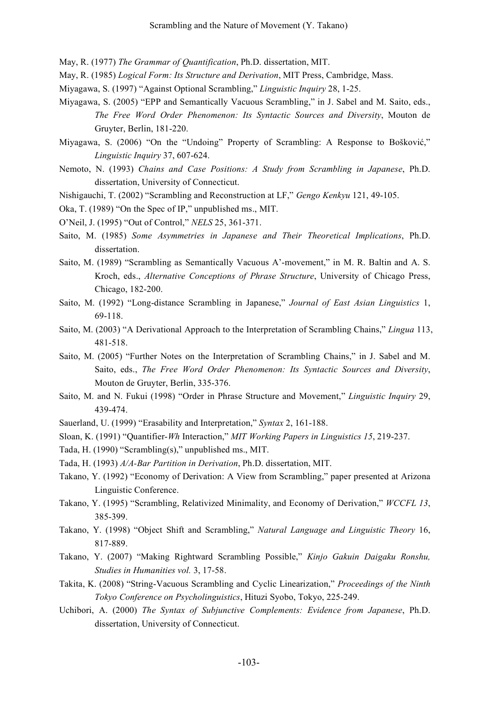- May, R. (1977) *The Grammar of Quantification*, Ph.D. dissertation, MIT.
- May, R. (1985) *Logical Form: Its Structure and Derivation*, MIT Press, Cambridge, Mass.
- Miyagawa, S. (1997) "Against Optional Scrambling," *Linguistic Inquiry* 28, 1-25.
- Miyagawa, S. (2005) "EPP and Semantically Vacuous Scrambling," in J. Sabel and M. Saito, eds., *The Free Word Order Phenomenon: Its Syntactic Sources and Diversity*, Mouton de Gruyter, Berlin, 181-220.
- Miyagawa, S. (2006) "On the "Undoing" Property of Scrambling: A Response to Bošković," *Linguistic Inquiry* 37, 607-624.
- Nemoto, N. (1993) *Chains and Case Positions: A Study from Scrambling in Japanese*, Ph.D. dissertation, University of Connecticut.
- Nishigauchi, T. (2002) "Scrambling and Reconstruction at LF," *Gengo Kenkyu* 121, 49-105.
- Oka, T. (1989) "On the Spec of IP," unpublished ms., MIT.
- O'Neil, J. (1995) "Out of Control," *NELS* 25, 361-371.
- Saito, M. (1985) *Some Asymmetries in Japanese and Their Theoretical Implications*, Ph.D. dissertation.
- Saito, M. (1989) "Scrambling as Semantically Vacuous A'-movement," in M. R. Baltin and A. S. Kroch, eds., *Alternative Conceptions of Phrase Structure*, University of Chicago Press, Chicago, 182-200.
- Saito, M. (1992) "Long-distance Scrambling in Japanese," *Journal of East Asian Linguistics* 1, 69-118.
- Saito, M. (2003) "A Derivational Approach to the Interpretation of Scrambling Chains," *Lingua* 113, 481-518.
- Saito, M. (2005) "Further Notes on the Interpretation of Scrambling Chains," in J. Sabel and M. Saito, eds., *The Free Word Order Phenomenon: Its Syntactic Sources and Diversity*, Mouton de Gruyter, Berlin, 335-376.
- Saito, M. and N. Fukui (1998) "Order in Phrase Structure and Movement," *Linguistic Inquiry* 29, 439-474.
- Sauerland, U. (1999) "Erasability and Interpretation," *Syntax* 2, 161-188.
- Sloan, K. (1991) "Quantifier-*Wh* Interaction," *MIT Working Papers in Linguistics 15*, 219-237.
- Tada, H. (1990) "Scrambling(s)," unpublished ms., MIT.
- Tada, H. (1993) *A/A-Bar Partition in Derivation*, Ph.D. dissertation, MIT.
- Takano, Y. (1992) "Economy of Derivation: A View from Scrambling," paper presented at Arizona Linguistic Conference.
- Takano, Y. (1995) "Scrambling, Relativized Minimality, and Economy of Derivation," *WCCFL 13*, 385-399.
- Takano, Y. (1998) "Object Shift and Scrambling," *Natural Language and Linguistic Theory* 16, 817-889.
- Takano, Y. (2007) "Making Rightward Scrambling Possible," *Kinjo Gakuin Daigaku Ronshu, Studies in Humanities vol.* 3, 17-58.
- Takita, K. (2008) "String-Vacuous Scrambling and Cyclic Linearization," *Proceedings of the Ninth Tokyo Conference on Psycholinguistics*, Hituzi Syobo, Tokyo, 225-249.
- Uchibori, A. (2000) *The Syntax of Subjunctive Complements: Evidence from Japanese*, Ph.D. dissertation, University of Connecticut.